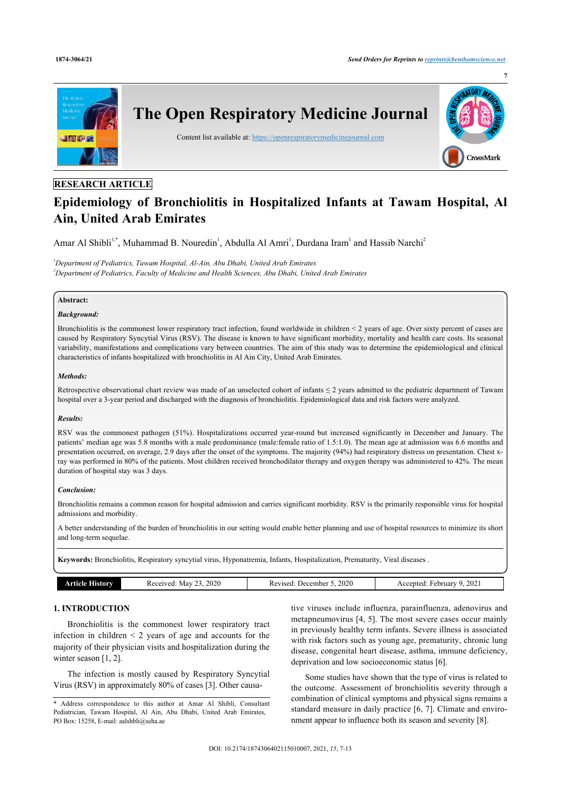

# **RESEARCH ARTICLE**

# **Epidemiology of Bronchiolitis in Hospitalized Infants at Tawam Hospital, Al Ain, United Arab Emirates**

Amar Al Shibli<sup>[1](#page-0-0)[,\\*](#page-0-1)</sup>, Muhammad B. Nouredin<sup>1</sup>, Abdulla Al Amri<sup>1</sup>, Durdana Iram<sup>1</sup> and Hassib Narchi<sup>[2](#page-0-2)</sup>

<span id="page-0-2"></span><span id="page-0-0"></span>*<sup>1</sup>Department of Pediatrics, Tawam Hospital, Al-Ain, Abu Dhabi, United Arab Emirates <sup>2</sup>Department of Pediatrics, Faculty of Medicine and Health Sciences, Abu Dhabi, United Arab Emirates*

#### **Abstract:**

# *Background:*

Bronchiolitis is the commonest lower respiratory tract infection, found worldwide in children < 2 years of age. Over sixty percent of cases are caused by Respiratory Syncytial Virus (RSV). The disease is known to have significant morbidity, mortality and health care costs. Its seasonal variability, manifestations and complications vary between countries. The aim of this study was to determine the epidemiological and clinical characteristics of infants hospitalized with bronchiolitis in Al Ain City, United Arab Emirates.

#### *Methods:*

Retrospective observational chart review was made of an unselected cohort of infants  $\leq 2$  years admitted to the pediatric department of Tawam hospital over a 3-year period and discharged with the diagnosis of bronchiolitis. Epidemiological data and risk factors were analyzed.

## *Results:*

RSV was the commonest pathogen (51%). Hospitalizations occurred year-round but increased significantly in December and January. The patients' median age was 5.8 months with a male predominance (male:female ratio of 1.5:1.0). The mean age at admission was 6.6 months and presentation occurred, on average, 2.9 days after the onset of the symptoms. The majority (94%) had respiratory distress on presentation. Chest xray was performed in 80% of the patients. Most children received bronchodilator therapy and oxygen therapy was administered to 42%. The mean duration of hospital stay was 3 days.

# *Conclusion:*

Bronchiolitis remains a common reason for hospital admission and carries significant morbidity. RSV is the primarily responsible virus for hospital admissions and morbidity.

A better understanding of the burden of bronchiolitis in our setting would enable better planning and use of hospital resources to minimize its short and long-term sequelae.

**Keywords:** Bronchiolitis, Respiratory syncytial virus, Hyponatremia, Infants, Hospitalization, Prematurity, Viral diseases .

| rticle<br>.amv | 2020<br>Mav<br>Received:<br>--- | 2020<br>. Jecember<br>Revised: | 2021<br>Accepted:<br>ebruary<br>u<br>--- |
|----------------|---------------------------------|--------------------------------|------------------------------------------|

# **1. INTRODUCTION**

Bronchiolitis is the commonest lower respiratory tract infection in children  $\leq$  2 years of age and accounts for the majority of their physician visits and hospitalization during the winter season [\[1,](#page-5-0) [2\]](#page-5-1).

The infection is mostly caused by Respiratory Syncytial Virus (RSV) in approximately 80% of cases [[3](#page-5-2)]. Other causa-

tive viruses include influenza, parainfluenza, adenovirus and metapneumovirus [[4](#page-5-3), [5](#page-5-4)]. The most severe cases occur mainly in previously healthy term infants. Severe illness is associated with risk factors such as young age, prematurity, chronic lung disease, congenital heart disease, asthma, immune deficiency, deprivation and low socioeconomic status [\[6\]](#page-5-5).

Some studies have shown that the type of virus is related to the outcome. Assessment of bronchiolitis severity through a combination of clinical symptoms and physical signs remains a standard measure in daily practice [[6,](#page-5-5) [7](#page-5-6)]. Climate and environment appear to influence both its season and severity [\[8\]](#page-5-7).

<span id="page-0-1"></span><sup>\*</sup> Address correspondence to this author at Amar Al Shibli, Consultant Pediatrician, Tawam Hospital, Al Ain, Abu Dhabi, United Arab Emirates, PO Box: 15258, E-mail: [aalshbli@seha.ae](mailto:aalshbli@seha.ae)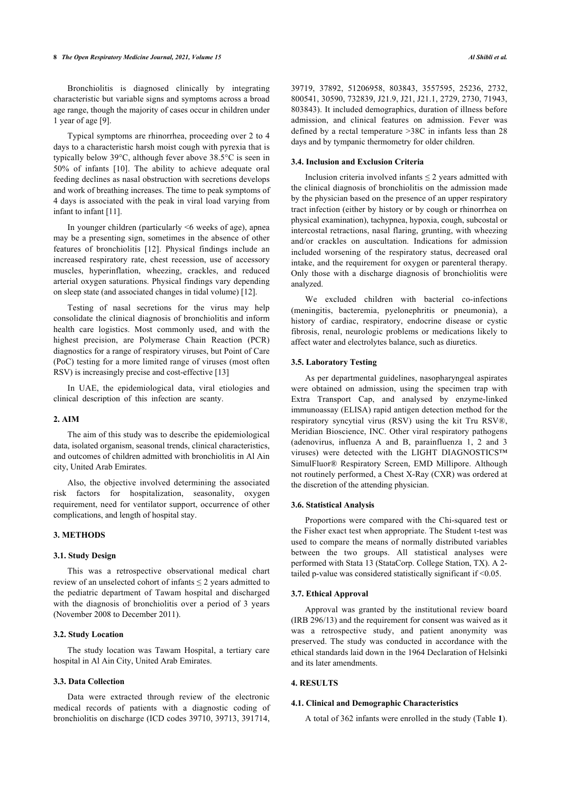#### **8** *The Open Respiratory Medicine Journal, 2021, Volume 15 Al Shibli et al.*

Bronchiolitis is diagnosed clinically by integrating characteristic but variable signs and symptoms across a broad age range, though the majority of cases occur in children under 1 year of age [[9](#page-5-8)].

Typical symptoms are rhinorrhea, proceeding over 2 to 4 days to a characteristic harsh moist cough with pyrexia that is typically below 39°C, although fever above 38.5°C is seen in 50% of infants [\[10\]](#page-5-9). The ability to achieve adequate oral feeding declines as nasal obstruction with secretions develops and work of breathing increases. The time to peak symptoms of 4 days is associated with the peak in viral load varying from infant to infant [\[11](#page-5-10)].

In younger children (particularly  $\leq 6$  weeks of age), apnea may be a presenting sign, sometimes in the absence of other features of bronchiolitis[[12\]](#page-5-11). Physical findings include an increased respiratory rate, chest recession, use of accessory muscles, hyperinflation, wheezing, crackles, and reduced arterial oxygen saturations. Physical findings vary depending on sleep state (and associated changes in tidal volume) [[12\]](#page-5-11).

Testing of nasal secretions for the virus may help consolidate the clinical diagnosis of bronchiolitis and inform health care logistics. Most commonly used, and with the highest precision, are Polymerase Chain Reaction (PCR) diagnostics for a range of respiratory viruses, but Point of Care (PoC) testing for a more limited range of viruses (most often RSV) is increasingly precise and cost-effective [\[13](#page-5-12)]

In UAE, the epidemiological data, viral etiologies and clinical description of this infection are scanty.

#### **2. AIM**

The aim of this study was to describe the epidemiological data, isolated organism, seasonal trends, clinical characteristics, and outcomes of children admitted with bronchiolitis in Al Ain city, United Arab Emirates.

Also, the objective involved determining the associated risk factors for hospitalization, seasonality, oxygen requirement, need for ventilator support, occurrence of other complications, and length of hospital stay.

# **3. METHODS**

#### **3.1. Study Design**

This was a retrospective observational medical chart review of an unselected cohort of infants ≤ 2 years admitted to the pediatric department of Tawam hospital and discharged with the diagnosis of bronchiolitis over a period of 3 years (November 2008 to December 2011).

# **3.2. Study Location**

The study location was Tawam Hospital, a tertiary care hospital in Al Ain City, United Arab Emirates.

#### **3.3. Data Collection**

Data were extracted through review of the electronic medical records of patients with a diagnostic coding of bronchiolitis on discharge (ICD codes 39710, 39713, 391714, 39719, 37892, 51206958, 803843, 3557595, 25236, 2732, 800541, 30590, 732839, J21.9, J21, J21.1, 2729, 2730, 71943, 803843). It included demographics, duration of illness before admission, and clinical features on admission. Fever was defined by a rectal temperature >38C in infants less than 28 days and by tympanic thermometry for older children.

## **3.4. Inclusion and Exclusion Criteria**

Inclusion criteria involved infants  $\leq 2$  years admitted with the clinical diagnosis of bronchiolitis on the admission made by the physician based on the presence of an upper respiratory tract infection (either by history or by cough or rhinorrhea on physical examination), tachypnea, hypoxia, cough, subcostal or intercostal retractions, nasal flaring, grunting, with wheezing and/or crackles on auscultation. Indications for admission included worsening of the respiratory status, decreased oral intake, and the requirement for oxygen or parenteral therapy. Only those with a discharge diagnosis of bronchiolitis were analyzed.

We excluded children with bacterial co-infections (meningitis, bacteremia, pyelonephritis or pneumonia), a history of cardiac, respiratory, endocrine disease or cystic fibrosis, renal, neurologic problems or medications likely to affect water and electrolytes balance, such as diuretics.

## **3.5. Laboratory Testing**

As per departmental guidelines, nasopharyngeal aspirates were obtained on admission, using the specimen trap with Extra Transport Cap, and analysed by enzyme-linked immunoassay (ELISA) rapid antigen detection method for the respiratory syncytial virus (RSV) using the kit Tru RSV®, Meridian Bioscience, INC. Other viral respiratory pathogens (adenovirus, influenza A and B, parainfluenza 1, 2 and 3 viruses) were detected with the LIGHT DIAGNOSTICS™ SimulFluor® Respiratory Screen, EMD Millipore. Although not routinely performed, a Chest X-Ray (CXR) was ordered at the discretion of the attending physician.

#### **3.6. Statistical Analysis**

Proportions were compared with the Chi-squared test or the Fisher exact test when appropriate. The Student t-test was used to compare the means of normally distributed variables between the two groups. All statistical analyses were performed with Stata 13 (StataCorp. College Station, TX). A 2 tailed p-value was considered statistically significant if <0.05.

#### **3.7. Ethical Approval**

Approval was granted by the institutional review board (IRB 296/13) and the requirement for consent was waived as it was a retrospective study, and patient anonymity was preserved. The study was conducted in accordance with the ethical standards laid down in the 1964 Declaration of Helsinki and its later amendments.

## **4. RESULTS**

#### **4.1. Clinical and Demographic Characteristics**

A total of 362 infants were enrolled in the study (Table **[1](#page-2-0)**).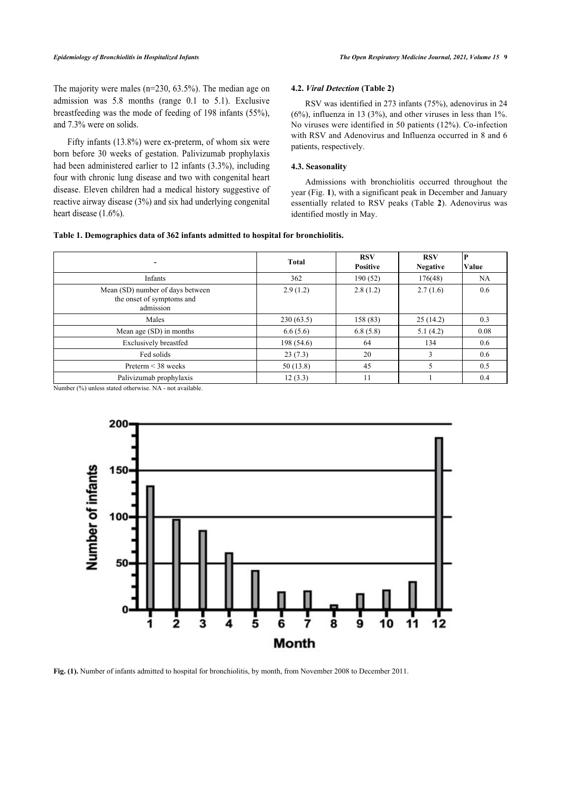The majority were males (n=230, 63.5%). The median age on admission was 5.8 months (range 0.1 to 5.1). Exclusive breastfeeding was the mode of feeding of 198 infants (55%), and 7.3% were on solids.

Fifty infants (13.8%) were ex-preterm, of whom six were born before 30 weeks of gestation. Palivizumab prophylaxis had been administered earlier to 12 infants (3.3%), including four with chronic lung disease and two with congenital heart disease. Eleven children had a medical history suggestive of reactive airway disease (3%) and six had underlying congenital heart disease (1.6%).

#### **4.2.** *Viral Detection* **(Table [2](#page-2-1))**

RSV was identified in 273 infants (75%), adenovirus in 24  $(6\%)$ , influenza in 13 (3%), and other viruses in less than 1%. No viruses were identified in 50 patients (12%). Co-infection with RSV and Adenovirus and Influenza occurred in 8 and 6 patients, respectively.

# **4.3. Seasonality**

Admissions with bronchiolitis occurred throughout the year (Fig. **[1](#page-2-2)**), with a significant peak in December and January essentially related to RSV peaks (Table**2**). Adenovirus was identified mostly in May.

# <span id="page-2-0"></span>**Table 1. Demographics data of 362 infants admitted to hospital for bronchiolitis.**

|                                                                                                                                                                                                                                                        | <b>Total</b> | <b>RSV</b><br><b>Positive</b> | <b>RSV</b><br><b>Negative</b> | P<br>Value |
|--------------------------------------------------------------------------------------------------------------------------------------------------------------------------------------------------------------------------------------------------------|--------------|-------------------------------|-------------------------------|------------|
| Infants                                                                                                                                                                                                                                                | 362          | 190(52)                       | 176(48)                       | NA         |
| Mean (SD) number of days between<br>the onset of symptoms and<br>admission                                                                                                                                                                             | 2.9(1.2)     | 2.8(1.2)                      | 2.7(1.6)                      | 0.6        |
| Males                                                                                                                                                                                                                                                  | 230(63.5)    | 158 (83)                      | 25(14.2)                      | 0.3        |
| Mean age (SD) in months                                                                                                                                                                                                                                | 6.6(5.6)     | 6.8(5.8)                      | 5.1(4.2)                      | 0.08       |
| <b>Exclusively breastfed</b>                                                                                                                                                                                                                           | 198(54.6)    | 64                            | 134                           | 0.6        |
| Fed solids                                                                                                                                                                                                                                             | 23(7.3)      | 20                            |                               | 0.6        |
| Preterm $\leq$ 38 weeks                                                                                                                                                                                                                                | 50(13.8)     | 45                            |                               | 0.5        |
| Palivizumab prophylaxis<br>$\mathbf{M}_{\text{total}}$ and $\mathbf{M}_{\text{total}}$ are $\mathbf{M}_{\text{total}}$ and $\mathbf{M}_{\text{total}}$ and $\mathbf{M}_{\text{total}}$ are $\mathbf{M}_{\text{total}}$ and $\mathbf{M}_{\text{total}}$ | 12(3.3)      | 11                            |                               | 0.4        |

<span id="page-2-2"></span>Number (%) unless stated otherwise. NA - not available.



<span id="page-2-1"></span>**Fig. (1).** Number of infants admitted to hospital for bronchiolitis, by month, from November 2008 to December 2011.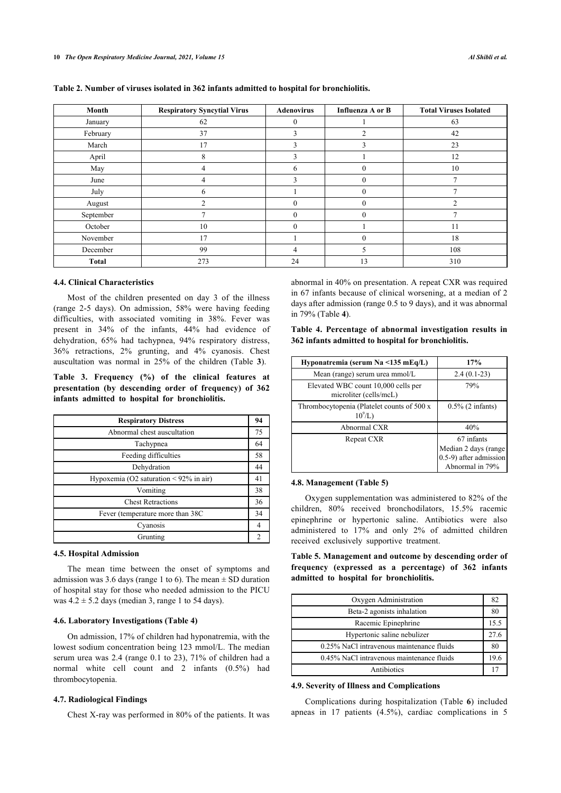| Month        | <b>Respiratory Syncytial Virus</b> | <b>Adenovirus</b> | Influenza A or B | <b>Total Viruses Isolated</b> |
|--------------|------------------------------------|-------------------|------------------|-------------------------------|
| January      | 62                                 | $\Omega$          |                  | 63                            |
| February     | 37                                 | 3                 | ◠                | 42                            |
| March        | 17                                 | $\mathcal{F}$     | ٩                | 23                            |
| April        | 8                                  | 3                 |                  | 12                            |
| May          | $\overline{4}$                     | 6                 |                  | 10                            |
| June         | 4                                  | 3                 | $\theta$         | $\overline{7}$                |
| July         | 6                                  |                   | $\Omega$         |                               |
| August       | $\overline{c}$                     | $\Omega$          | $\Omega$         | $\mathcal{D}$                 |
| September    | Ξ                                  | $\Omega$          | $\Omega$         | $\mathcal{L}$                 |
| October      | 10                                 | $\Omega$          |                  | 11                            |
| November     | 17                                 |                   | $\Omega$         | 18                            |
| December     | 99                                 | 4                 |                  | 108                           |
| <b>Total</b> | 273                                | 24                | 13               | 310                           |

|  |  |  |  |  |  |  |  |  |  |  | Table 2. Number of viruses isolated in 362 infants admitted to hospital for bronchiolitis. |
|--|--|--|--|--|--|--|--|--|--|--|--------------------------------------------------------------------------------------------|
|--|--|--|--|--|--|--|--|--|--|--|--------------------------------------------------------------------------------------------|

#### **4.4. Clinical Characteristics**

<span id="page-3-1"></span>Most of the children presented on day 3 of the illness (range 2-5 days). On admission, 58% were having feeding difficulties, with associated vomiting in 38%. Fever was present in 34% of the infants, 44% had evidence of dehydration, 65% had tachypnea, 94% respiratory distress, 36% retractions, 2% grunting, and 4% cyanosis. Chest auscultation was normal in 25% of the children (Table**3**).

<span id="page-3-0"></span>**Table 3. Frequency (%) of the clinical features at presentation (by descending order of frequency) of 362 infants admitted to hospital for bronchiolitis.**

| <b>Respiratory Distress</b>                  | 94 |
|----------------------------------------------|----|
| Abnormal chest auscultation                  | 75 |
| Tachypnea                                    | 64 |
| Feeding difficulties                         | 58 |
| Dehydration                                  | 44 |
| Hypoxemia (O2 saturation $\leq 92\%$ in air) | 41 |
| Vomiting                                     | 38 |
| <b>Chest Retractions</b>                     | 36 |
| Fever (temperature more than 38C)            | 34 |
| Cyanosis                                     | 4  |
| Grunting                                     |    |

#### <span id="page-3-2"></span>**4.5. Hospital Admission**

The mean time between the onset of symptoms and admission was 3.6 days (range 1 to 6). The mean  $\pm$  SD duration of hospital stay for those who needed admission to the PICU was  $4.2 \pm 5.2$  days (median 3, range 1 to 54 days).

#### **4.6. Laboratory Investigations (Table [4\)](#page-3-1)**

On admission, 17% of children had hyponatremia, with the lowest sodium concentration being 123 mmol/L. The median serum urea was 2.4 (range 0.1 to 23), 71% of children had a normal white cell count and 2 infants (0.5%) had thrombocytopenia.

# **4.7. Radiological Findings**

Chest X-ray was performed in 80% of the patients. It was

abnormal in 40% on presentation. A repeat CXR was required in 67 infants because of clinical worsening, at a median of 2 days after admission (range 0.5 to 9 days), and it was abnormal in 79% (Table **[4](#page-3-1)**).

| Table 4. Percentage of abnormal investigation results in |  |
|----------------------------------------------------------|--|
| 362 infants admitted to hospital for bronchiolitis.      |  |

| Hyponatremia (serum Na <135 mEq/L)                            | 17%                                                                             |
|---------------------------------------------------------------|---------------------------------------------------------------------------------|
| Mean (range) serum urea mmol/L                                | $2.4(0.1-23)$                                                                   |
| Elevated WBC count 10,000 cells per<br>microliter (cells/mcL) | 79%                                                                             |
| Thrombocytopenia (Platelet counts of 500 x<br>$10^9$ /L)      | $0.5\%$ (2 infants)                                                             |
| Abnormal CXR                                                  | 40%                                                                             |
| Repeat CXR                                                    | 67 infants<br>Median 2 days (range<br>0.5-9) after admission<br>Abnormal in 79% |

# **4.8. Management (Table [5](#page-3-2))**

Oxygen supplementation was administered to 82% of the children, 80% received bronchodilators, 15.5% racemic epinephrine or hypertonic saline. Antibiotics were also administered to 17% and only 2% of admitted children received exclusively supportive treatment.

**Table 5. Management and outcome by descending order of frequency (expressed as a percentage) of 362 infants admitted to hospital for bronchiolitis.**

| Oxygen Administration                     | 82   |
|-------------------------------------------|------|
| Beta-2 agonists inhalation                | 80   |
| Racemic Epinephrine                       | 15.5 |
| Hypertonic saline nebulizer               | 27.6 |
| 0.25% NaCl intravenous maintenance fluids | 80   |
| 0.45% NaCl intravenous maintenance fluids | 19.6 |
| Antibiotics                               |      |

#### **4.9. Severity of Illness and Complications**

Complications during hospitalization (Table**6**) included apneas in 17 patients (4.5%), cardiac complications in 5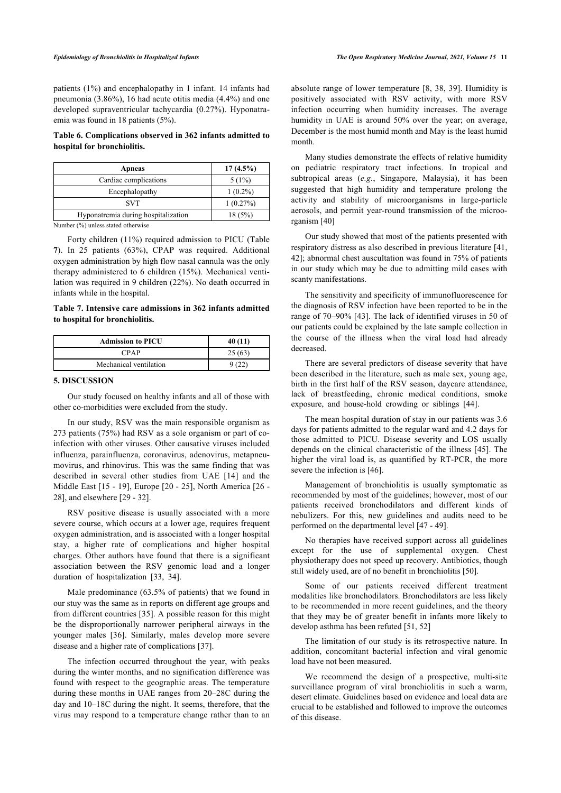patients (1%) and encephalopathy in 1 infant. 14 infants had pneumonia (3.86%), 16 had acute otitis media (4.4%) and one developed supraventricular tachycardia (0.27%). Hyponatraemia was found in 18 patients (5%).

# <span id="page-4-0"></span>**Table 6. Complications observed in 362 infants admitted to hospital for bronchiolitis.**

| Apneas                              | $17(4.5\%)$ |
|-------------------------------------|-------------|
| Cardiac complications               | $5(1\%)$    |
| Encephalopathy                      | $1(0.2\%)$  |
| <b>SVT</b>                          | 1(0.27%)    |
| Hyponatremia during hospitalization | 18(5%)      |

Number (%) unless stated otherwise

Forty children (11%) required admission to PICU (Table **[7](#page-4-1)**). In 25 patients (63%), CPAP was required. Additional oxygen administration by high flow nasal cannula was the only therapy administered to 6 children (15%). Mechanical ventilation was required in 9 children (22%). No death occurred in infants while in the hospital.

<span id="page-4-1"></span>**Table 7. Intensive care admissions in 362 infants admitted to hospital for bronchiolitis.**

| <b>Admission to PICU</b> | 40 (11) |
|--------------------------|---------|
| CPAP                     | 25(63)  |
| Mechanical ventilation   |         |

#### **5. DISCUSSION**

Our study focused on healthy infants and all of those with other co-morbidities were excluded from the study.

In our study, RSV was the main responsible organism as 273 patients (75%) had RSV as a sole organism or part of coinfection with other viruses. Other causative viruses included influenza, parainfluenza, coronavirus, adenovirus, metapneumovirus, and rhinovirus. This was the same finding that was described in several other studies from UAE[[14\]](#page-5-13) and the Middle East [[15](#page-5-14) - [19](#page-5-15)], Europe [[20](#page-5-1) - [25\]](#page-6-0), North America [\[26](#page-6-1) - [28\]](#page-6-2), and elsewhere [[29](#page-6-3) - [32](#page-6-4)].

RSV positive disease is usually associated with a more severe course, which occurs at a lower age, requires frequent oxygen administration, and is associated with a longer hospital stay, a higher rate of complications and higher hospital charges. Other authors have found that there is a significant association between the RSV genomic load and a longer duration of hospitalization[[33,](#page-6-5) [34](#page-6-6)].

Male predominance (63.5% of patients) that we found in our stuy was the same as in reports on different age groups and from different countries [[35\]](#page-6-7). A possible reason for this might be the disproportionally narrower peripheral airways in the younger males [\[36](#page-6-8)]. Similarly, males develop more severe disease and a higher rate of complications [[37\]](#page-6-9).

The infection occurred throughout the year, with peaks during the winter months, and no signification difference was found with respect to the geographic areas. The temperature during these months in UAE ranges from 20–28C during the day and 10–18C during the night. It seems, therefore, that the virus may respond to a temperature change rather than to an absolute range of lower temperature [[8](#page-5-7), [38,](#page-6-10) [39\]](#page-6-11). Humidity is positively associated with RSV activity, with more RSV infection occurring when humidity increases. The average humidity in UAE is around 50% over the year; on average, December is the most humid month and May is the least humid month.

Many studies demonstrate the effects of relative humidity on pediatric respiratory tract infections. In tropical and subtropical areas (*e.g.*, Singapore, Malaysia), it has been suggested that high humidity and temperature prolong the activity and stability of microorganisms in large-particle aerosols, and permit year-round transmission of the microorganism [\[40](#page-6-12)]

Our study showed that most of the patients presented with respiratory distress as also described in previous literature [\[41](#page-6-13), [42](#page-6-14)]; abnormal chest auscultation was found in 75% of patients in our study which may be due to admitting mild cases with scanty manifestations.

The sensitivity and specificity of immunofluorescence for the diagnosis of RSV infection have been reported to be in the range of 70–90% [[43](#page-6-15)]. The lack of identified viruses in 50 of our patients could be explained by the late sample collection in the course of the illness when the viral load had already decreased.

There are several predictors of disease severity that have been described in the literature, such as male sex, young age, birth in the first half of the RSV season, daycare attendance, lack of breastfeeding, chronic medical conditions, smoke exposure, and house-hold crowding or siblings[[44\]](#page-6-16).

The mean hospital duration of stay in our patients was 3.6 days for patients admitted to the regular ward and 4.2 days for those admitted to PICU. Disease severity and LOS usually depends on the clinical characteristic of the illness [[45\]](#page-6-17). The higher the viral load is, as quantified by RT-PCR, the more severe the infection is [[46\]](#page-6-18).

Management of bronchiolitis is usually symptomatic as recommended by most of the guidelines; however, most of our patients received bronchodilators and different kinds of nebulizers. For this, new guidelines and audits need to be performed on the departmental level [\[47](#page-6-19) - [49\]](#page-6-20).

No therapies have received support across all guidelines except for the use of supplemental oxygen. Chest physiotherapy does not speed up recovery. Antibiotics, though still widely used, are of no benefit in bronchiolitis [[50\]](#page-6-21).

Some of our patients received different treatment modalities like bronchodilators. Bronchodilators are less likely to be recommended in more recent guidelines, and the theory that they may be of greater benefit in infants more likely to develop asthma has been refuted [[51,](#page-6-22) [52](#page-6-23)]

The limitation of our study is its retrospective nature. In addition, concomitant bacterial infection and viral genomic load have not been measured.

We recommend the design of a prospective, multi-site surveillance program of viral bronchiolitis in such a warm, desert climate. Guidelines based on evidence and local data are crucial to be established and followed to improve the outcomes of this disease.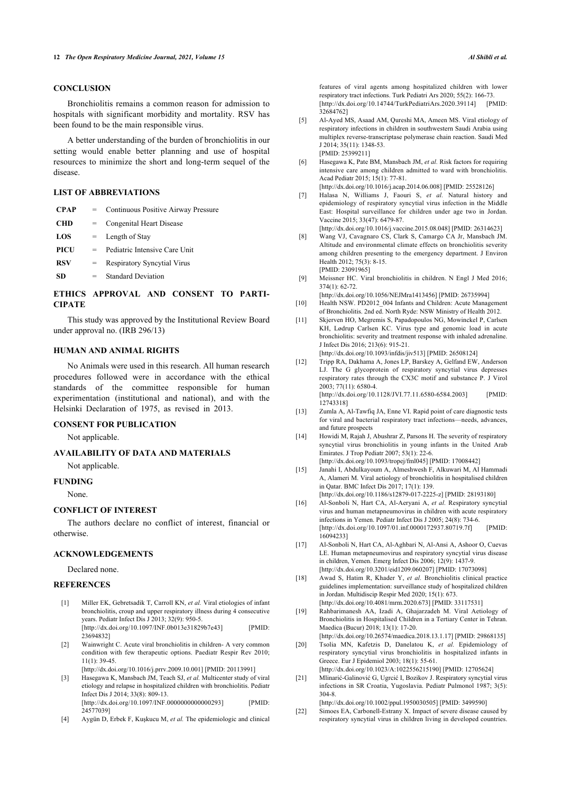# **CONCLUSION**

<span id="page-5-4"></span>Bronchiolitis remains a common reason for admission to hospitals with significant morbidity and mortality. RSV has been found to be the main responsible virus.

<span id="page-5-5"></span>A better understanding of the burden of bronchiolitis in our setting would enable better planning and use of hospital resources to minimize the short and long-term sequel of the disease.

## <span id="page-5-6"></span>**LIST OF ABBREVIATIONS**

<span id="page-5-7"></span>

| <b>CPAP</b> | $=$ | Continuous Positive Airway Pressure |
|-------------|-----|-------------------------------------|
| <b>CHD</b>  | $=$ | Congenital Heart Disease            |
| LOS         | $=$ | Length of Stay                      |
| PICU        | $=$ | Pediatric Intensive Care Unit       |
| <b>RSV</b>  | $=$ | <b>Respiratory Syncytial Virus</b>  |
| <b>SD</b>   | $=$ | <b>Standard Deviation</b>           |
|             |     |                                     |

# <span id="page-5-9"></span><span id="page-5-8"></span>**ETHICS APPROVAL AND CONSENT TO PARTI-CIPATE**

<span id="page-5-10"></span>This study was approved by the Institutional Review Board under approval no. (IRB 296/13)

# **HUMAN AND ANIMAL RIGHTS**

<span id="page-5-11"></span>No Animals were used in this research. All human research procedures followed were in accordance with the ethical standards of the committee responsible for human experimentation (institutional and national), and with the Helsinki Declaration of 1975, as revised in 2013.

## <span id="page-5-13"></span><span id="page-5-12"></span>**CONSENT FOR PUBLICATION**

Not applicable.

# **AVAILABILITY OF DATA AND MATERIALS**

Not applicable.

# <span id="page-5-14"></span>**FUNDING**

None.

#### **CONFLICT OF INTEREST**

The authors declare no conflict of interest, financial or otherwise.

# **ACKNOWLEDGEMENTS**

Declared none.

#### <span id="page-5-15"></span><span id="page-5-0"></span>**REFERENCES**

- [1] Miller EK, Gebretsadik T, Carroll KN, *et al.* Viral etiologies of infant bronchiolitis, croup and upper respiratory illness during 4 consecutive years. Pediatr Infect Dis J 2013; 32(9): 950-5. [\[http://dx.doi.org/10.1097/INF.0b013e31829b7e43](http://dx.doi.org/10.1097/INF.0b013e31829b7e43)] [PMID: [23694832\]](http://www.ncbi.nlm.nih.gov/pubmed/23694832)
- <span id="page-5-1"></span>[2] Wainwright C. Acute viral bronchiolitis in children- A very common condition with few therapeutic options. Paediatr Respir Rev 2010; 11(1): 39-45.
	- [\[http://dx.doi.org/10.1016/j.prrv.2009.10.001](http://dx.doi.org/10.1016/j.prrv.2009.10.001)] [PMID: [20113991\]](http://www.ncbi.nlm.nih.gov/pubmed/20113991)
- <span id="page-5-2"></span>[3] Hasegawa K, Mansbach JM, Teach SJ, *et al.* Multicenter study of viral etiology and relapse in hospitalized children with bronchiolitis. Pediatr Infect Dis J 2014; 33(8): 809-13. [\[http://dx.doi.org/10.1097/INF.0000000000000293\]](http://dx.doi.org/10.1097/INF.0000000000000293) [PMID: [24577039\]](http://www.ncbi.nlm.nih.gov/pubmed/24577039)
- <span id="page-5-3"></span>[4] Aygün D, Erbek F, Kuşkucu M, *et al.* The epidemiologic and clinical

features of viral agents among hospitalized children with lower respiratory tract infections. Turk Pediatri Ars 2020; 55(2): 166-73. [\[http://dx.doi.org/10.14744/TurkPediatriArs.2020.39114\]](http://dx.doi.org/10.14744/TurkPediatriArs.2020.39114) [PMID: [32684762\]](http://www.ncbi.nlm.nih.gov/pubmed/32684762)

- [5] Al-Ayed MS, Asaad AM, Qureshi MA, Ameen MS. Viral etiology of respiratory infections in children in southwestern Saudi Arabia using multiplex reverse-transcriptase polymerase chain reaction. Saudi Med J 2014; 35(11): 1348-53. [PMID: [25399211\]](http://www.ncbi.nlm.nih.gov/pubmed/25399211)
- [6] Hasegawa K, Pate BM, Mansbach JM, *et al.* Risk factors for requiring intensive care among children admitted to ward with bronchiolitis. Acad Pediatr 2015; 15(1): 77-81.
- [\[http://dx.doi.org/10.1016/j.acap.2014.06.008\]](http://dx.doi.org/10.1016/j.acap.2014.06.008) [PMID: [25528126](http://www.ncbi.nlm.nih.gov/pubmed/25528126)] [7] Halasa N, Williams J, Faouri S, *et al.* Natural history and
- epidemiology of respiratory syncytial virus infection in the Middle East: Hospital surveillance for children under age two in Jordan. Vaccine 2015; 33(47): 6479-87.
- [\[http://dx.doi.org/10.1016/j.vaccine.2015.08.048](http://dx.doi.org/10.1016/j.vaccine.2015.08.048)] [PMID: [26314623\]](http://www.ncbi.nlm.nih.gov/pubmed/26314623)
- [8] Wang VJ, Cavagnaro CS, Clark S, Camargo CA Jr, Mansbach JM. Altitude and environmental climate effects on bronchiolitis severity among children presenting to the emergency department. J Environ Health 2012; 75(3): 8-15. [PMID: [23091965\]](http://www.ncbi.nlm.nih.gov/pubmed/23091965)
- [9] Meissner HC. Viral bronchiolitis in children. N Engl J Med 2016;  $374(1)$ : 62-72.
- [\[http://dx.doi.org/10.1056/NEJMra1413456\]](http://dx.doi.org/10.1056/NEJMra1413456) [PMID: [26735994](http://www.ncbi.nlm.nih.gov/pubmed/26735994)]
- [10] Health NSW. PD2012\_004 Infants and Children: Acute Management of Bronchiolitis. 2nd ed. North Ryde: NSW Ministry of Health 2012.
- [11] Skjerven HO, Megremis S, Papadopoulos NG, Mowinckel P, Carlsen KH, Lødrup Carlsen KC. Virus type and genomic load in acute bronchiolitis: severity and treatment response with inhaled adrenaline. J Infect Dis 2016; 213(6): 915-21. [\[http://dx.doi.org/10.1093/infdis/jiv513](http://dx.doi.org/10.1093/infdis/jiv513)] [PMID: [26508124\]](http://www.ncbi.nlm.nih.gov/pubmed/26508124)
- [12] Tripp RA, Dakhama A, Jones LP, Barskey A, Gelfand EW, Anderson LJ. The G glycoprotein of respiratory syncytial virus depresses respiratory rates through the CX3C motif and substance P. J Virol 2003; 77(11): 6580-4.

[\[http://dx.doi.org/10.1128/JVI.77.11.6580-6584.2003\]](http://dx.doi.org/10.1128/JVI.77.11.6580-6584.2003) [PMID: [12743318\]](http://www.ncbi.nlm.nih.gov/pubmed/12743318)

- [13] Zumla A, Al-Tawfiq JA, Enne VI. Rapid point of care diagnostic tests for viral and bacterial respiratory tract infections—needs, advances, and future prospects
- [14] Howidi M, Rajah J, Abushrar Z, Parsons H. The severity of respiratory syncytial virus bronchiolitis in young infants in the United Arab Emirates. J Trop Pediatr 2007; 53(1): 22-6. [\[http://dx.doi.org/10.1093/tropej/fml045\]](http://dx.doi.org/10.1093/tropej/fml045) [PMID: [17008442\]](http://www.ncbi.nlm.nih.gov/pubmed/17008442)
- [15] Janahi I, Abdulkayoum A, Almeshwesh F, Alkuwari M, Al Hammadi A, Alameri M. Viral aetiology of bronchiolitis in hospitalised children in Qatar. BMC Infect Dis 2017; 17(1): 139.
- [\[http://dx.doi.org/10.1186/s12879-017-2225-z](http://dx.doi.org/10.1186/s12879-017-2225-z)] [PMID: [28193180\]](http://www.ncbi.nlm.nih.gov/pubmed/28193180) [16] Al-Sonboli N, Hart CA, Al-Aeryani A, *et al.* Respiratory syncytial virus and human metapneumovirus in children with acute respiratory infections in Yemen. Pediatr Infect Dis J 2005; 24(8): 734-6. [\[http://dx.doi.org/10.1097/01.inf.0000172937.80719.7f\]](http://dx.doi.org/10.1097/01.inf.0000172937.80719.7f) [PMID: [16094233\]](http://www.ncbi.nlm.nih.gov/pubmed/16094233)
- [17] Al-Sonboli N, Hart CA, Al-Aghbari N, Al-Ansi A, Ashoor O, Cuevas LE. Human metapneumovirus and respiratory syncytial virus disease in children, Yemen. Emerg Infect Dis 2006; 12(9): 1437-9. [\[http://dx.doi.org/10.3201/eid1209.060207\]](http://dx.doi.org/10.3201/eid1209.060207) [PMID: [17073098](http://www.ncbi.nlm.nih.gov/pubmed/17073098)]
- [18] Awad S, Hatim R, Khader Y, *et al.* Bronchiolitis clinical practice guidelines implementation: surveillance study of hospitalized children in Jordan. Multidiscip Respir Med 2020; 15(1): 673. [\[http://dx.doi.org/10.4081/mrm.2020.673\]](http://dx.doi.org/10.4081/mrm.2020.673) [PMID: [33117531](http://www.ncbi.nlm.nih.gov/pubmed/33117531)]
- [19] Rahbarimanesh AA, Izadi A, Ghajarzadeh M. Viral Aetiology of Bronchiolitis in Hospitalised Children in a Tertiary Center in Tehran. Maedica (Bucur) 2018; 13(1): 17-20.
- [\[http://dx.doi.org/10.26574/maedica.2018.13.1.17\]](http://dx.doi.org/10.26574/maedica.2018.13.1.17) [PMID: [29868135](http://www.ncbi.nlm.nih.gov/pubmed/29868135)] [20] Tsolia MN, Kafetzis D, Danelatou K, *et al.* Epidemiology of
- respiratory syncytial virus bronchiolitis in hospitalized infants in Greece. Eur J Epidemiol 2003; 18(1): 55-61. [\[http://dx.doi.org/10.1023/A:1022556215190\]](http://dx.doi.org/10.1023/A:1022556215190) [PMID: [12705624\]](http://www.ncbi.nlm.nih.gov/pubmed/12705624)
- [21] Mlinarić-Galinović G, Ugrcić I, Bozikov J. Respiratory syncytial virus infections in SR Croatia, Yugoslavia. Pediatr Pulmonol 1987; 3(5): 304-8.

[\[http://dx.doi.org/10.1002/ppul.1950030505\]](http://dx.doi.org/10.1002/ppul.1950030505) [PMID: [3499590\]](http://www.ncbi.nlm.nih.gov/pubmed/3499590) [22] Simoes EA, Carbonell-Estrany X. Impact of severe disease caused by respiratory syncytial virus in children living in developed countries.